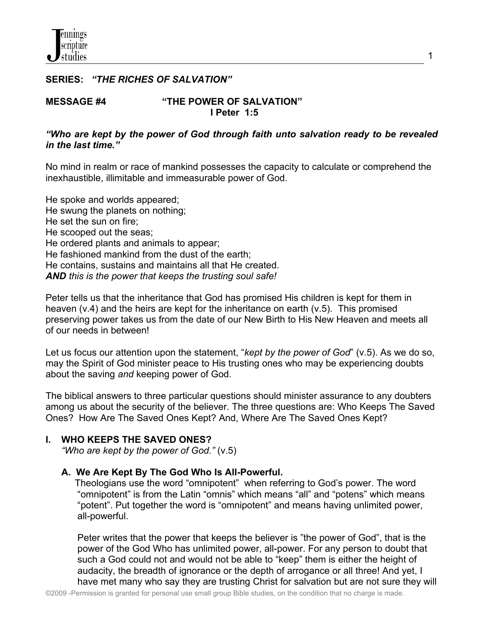## **SERIES:** *"THE RICHES OF SALVATION"*

#### **MESSAGE #4 "THE POWER OF SALVATION" I Peter 1:5**

## *"Who are kept by the power of God through faith unto salvation ready to be revealed in the last time."*

No mind in realm or race of mankind possesses the capacity to calculate or comprehend the inexhaustible, illimitable and immeasurable power of God.

He spoke and worlds appeared; He swung the planets on nothing; He set the sun on fire; He scooped out the seas; He ordered plants and animals to appear; He fashioned mankind from the dust of the earth; He contains, sustains and maintains all that He created. *AND this is the power that keeps the trusting soul safe!*

Peter tells us that the inheritance that God has promised His children is kept for them in heaven (v.4) and the heirs are kept for the inheritance on earth (v.5). This promised preserving power takes us from the date of our New Birth to His New Heaven and meets all of our needs in between!

Let us focus our attention upon the statement, "*kept by the power of God*" (v.5). As we do so, may the Spirit of God minister peace to His trusting ones who may be experiencing doubts about the saving *and* keeping power of God.

The biblical answers to three particular questions should minister assurance to any doubters among us about the security of the believer. The three questions are: Who Keeps The Saved Ones? How Are The Saved Ones Kept? And, Where Are The Saved Ones Kept?

## **I. WHO KEEPS THE SAVED ONES?**

*"Who are kept by the power of God."* (v.5)

## **A. We Are Kept By The God Who Is All-Powerful.**

 Theologians use the word "omnipotent" when referring to God's power. The word "omnipotent" is from the Latin "omnis" which means "all" and "potens" which means "potent". Put together the word is "omnipotent" and means having unlimited power, all-powerful.

 Peter writes that the power that keeps the believer is "the power of God", that is the power of the God Who has unlimited power, all-power. For any person to doubt that such a God could not and would not be able to "keep" them is either the height of audacity, the breadth of ignorance or the depth of arrogance or all three! And yet, I have met many who say they are trusting Christ for salvation but are not sure they will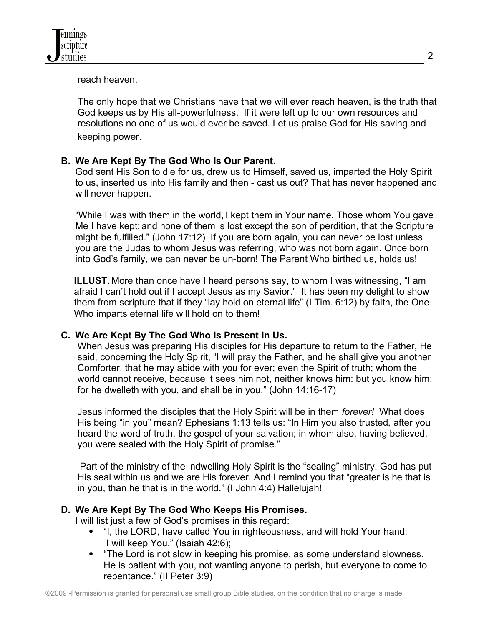reach heaven.

 The only hope that we Christians have that we will ever reach heaven, is the truth that God keeps us by His all-powerfulness. If it were left up to our own resources and resolutions no one of us would ever be saved. Let us praise God for His saving and keeping power.

# **B. We Are Kept By The God Who Is Our Parent.**

God sent His Son to die for us, drew us to Himself, saved us, imparted the Holy Spirit to us, inserted us into His family and then - cast us out? That has never happened and will never happen.

"While I was with them in the world, I kept them in Your name. Those whom You gave Me I have kept; and none of them is lost except the son of perdition, that the Scripture might be fulfilled." (John 17:12) If you are born again, you can never be lost unless you are the Judas to whom Jesus was referring, who was not born again. Once born into God's family, we can never be un-born! The Parent Who birthed us, holds us!

**ILLUST.** More than once have I heard persons say, to whom I was witnessing, "I am afraid I can't hold out if I accept Jesus as my Savior." It has been my delight to show them from scripture that if they "lay hold on eternal life" (I Tim. 6:12) by faith, the One Who imparts eternal life will hold on to them!

# **C. We Are Kept By The God Who Is Present In Us.**

 When Jesus was preparing His disciples for His departure to return to the Father, He said, concerning the Holy Spirit, "I will pray the Father, and he shall give you another Comforter, that he may abide with you for ever; even the Spirit of truth; whom the world cannot receive, because it sees him not, neither knows him: but you know him; for he dwelleth with you, and shall be in you." (John 14:16-17)

 Jesus informed the disciples that the Holy Spirit will be in them *forever!* What does His being "in you" mean? Ephesians 1:13 tells us: "In Him you also trusted*,* after you heard the word of truth, the gospel of your salvation; in whom also, having believed, you were sealed with the Holy Spirit of promise."

 Part of the ministry of the indwelling Holy Spirit is the "sealing" ministry. God has put His seal within us and we are His forever. And I remind you that "greater is he that is in you, than he that is in the world." (I John 4:4) Hallelujah!

# **D. We Are Kept By The God Who Keeps His Promises.**

I will list just a few of God's promises in this regard:

- "I, the LORD, have called You in righteousness, and will hold Your hand; I will keep You." (Isaiah 42:6);
- "The Lord is not slow in keeping his promise, as some understand slowness. He is patient with you, not wanting anyone to perish, but everyone to come to repentance." (II Peter 3:9)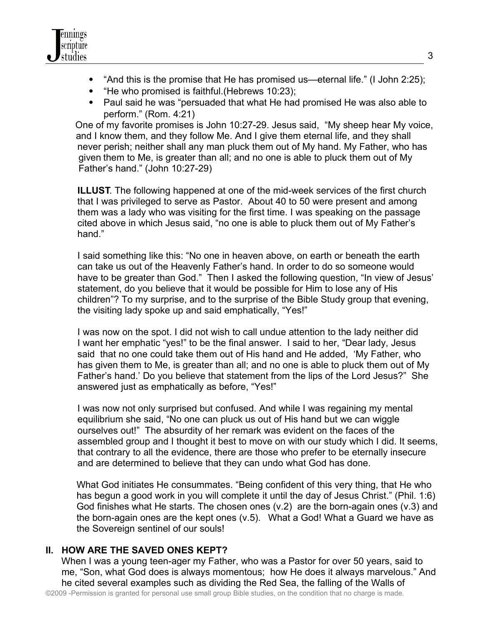- "And this is the promise that He has promised us—eternal life." (I John 2:25);
- "He who promised is faithful. (Hebrews 10:23);
- Paul said he was "persuaded that what He had promised He was also able to perform." (Rom. 4:21)

One of my favorite promises is John 10:27-29. Jesus said, "My sheep hear My voice, and I know them, and they follow Me. And I give them eternal life, and they shall never perish; neither shall any man pluck them out of My hand. My Father, who has given them to Me, is greater than all; and no one is able to pluck them out of My Father's hand." (John 10:27-29)

 **ILLUST**. The following happened at one of the mid-week services of the first church that I was privileged to serve as Pastor. About 40 to 50 were present and among them was a lady who was visiting for the first time. I was speaking on the passage cited above in which Jesus said, "no one is able to pluck them out of My Father's hand."

 I said something like this: "No one in heaven above, on earth or beneath the earth can take us out of the Heavenly Father's hand. In order to do so someone would have to be greater than God." Then I asked the following question, "In view of Jesus' statement, do you believe that it would be possible for Him to lose any of His children"? To my surprise, and to the surprise of the Bible Study group that evening, the visiting lady spoke up and said emphatically, "Yes!"

 I was now on the spot. I did not wish to call undue attention to the lady neither did I want her emphatic "yes!" to be the final answer. I said to her, "Dear lady, Jesus said that no one could take them out of His hand and He added, 'My Father, who has given them to Me, is greater than all; and no one is able to pluck them out of My Father's hand.' Do you believe that statement from the lips of the Lord Jesus?" She answered just as emphatically as before, "Yes!"

 I was now not only surprised but confused. And while I was regaining my mental equilibrium she said, "No one can pluck us out of His hand but we can wiggle ourselves out!" The absurdity of her remark was evident on the faces of the assembled group and I thought it best to move on with our study which I did. It seems, that contrary to all the evidence, there are those who prefer to be eternally insecure and are determined to believe that they can undo what God has done.

 What God initiates He consummates. "Being confident of this very thing, that He who has begun a good work in you will complete it until the day of Jesus Christ." (Phil. 1:6) God finishes what He starts. The chosen ones (v.2) are the born-again ones (v.3) and the born-again ones are the kept ones (v.5). What a God! What a Guard we have as the Sovereign sentinel of our souls!

# **II. HOW ARE THE SAVED ONES KEPT?**

When I was a young teen-ager my Father, who was a Pastor for over 50 years, said to me, "Son, what God does is always momentous; how He does it always marvelous." And he cited several examples such as dividing the Red Sea, the falling of the Walls of ©2009 -Permission is granted for personal use small group Bible studies, on the condition that no charge is made.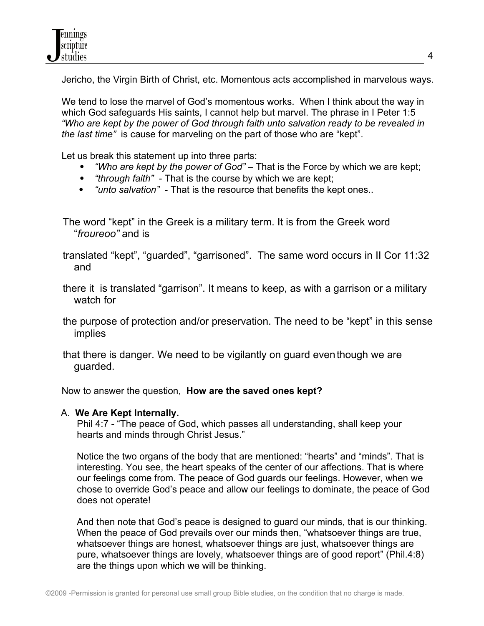Jericho, the Virgin Birth of Christ, etc. Momentous acts accomplished in marvelous ways.

We tend to lose the marvel of God's momentous works. When I think about the way in which God safeguards His saints, I cannot help but marvel. The phrase in I Peter 1:5 *"Who are kept by the power of God through faith unto salvation ready to be revealed in the last time"* is cause for marveling on the part of those who are "kept".

Let us break this statement up into three parts:

- *"Who are kept by the power of God"*  That is the Force by which we are kept;
- *"through faith"*  That is the course by which we are kept;
- *"unto salvation"*  That is the resource that benefits the kept ones..

The word "kept" in the Greek is a military term. It is from the Greek word "*froureoo"* and is

 translated "kept", "guarded", "garrisoned". The same word occurs in II Cor 11:32 and

 there it is translated "garrison". It means to keep, as with a garrison or a military watch for

 the purpose of protection and/or preservation. The need to be "kept" in this sense implies

 that there is danger. We need to be vigilantly on guard eventhough we are guarded.

Now to answer the question, **How are the saved ones kept?**

# A. **We Are Kept Internally.**

 Phil 4:7 - "The peace of God, which passes all understanding, shall keep your hearts and minds through Christ Jesus."

Notice the two organs of the body that are mentioned: "hearts" and "minds". That is interesting. You see, the heart speaks of the center of our affections. That is where our feelings come from. The peace of God guards our feelings. However, when we chose to override God's peace and allow our feelings to dominate, the peace of God does not operate!

 And then note that God's peace is designed to guard our minds, that is our thinking. When the peace of God prevails over our minds then, "whatsoever things are true, whatsoever things are honest, whatsoever things are just, whatsoever things are pure, whatsoever things are lovely, whatsoever things are of good report" (Phil.4:8) are the things upon which we will be thinking.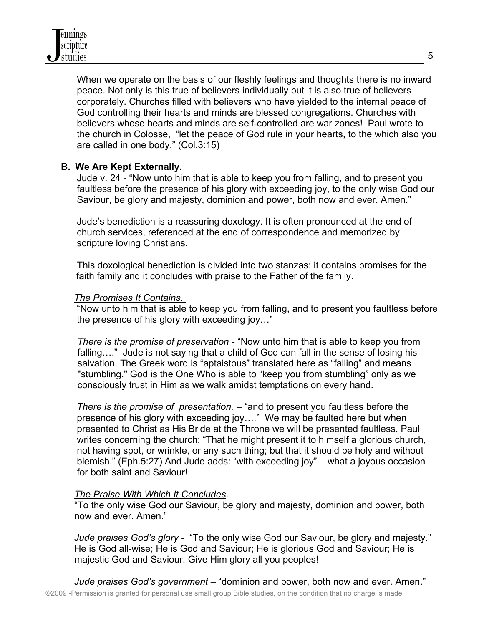When we operate on the basis of our fleshly feelings and thoughts there is no inward peace. Not only is this true of believers individually but it is also true of believers corporately. Churches filled with believers who have yielded to the internal peace of God controlling their hearts and minds are blessed congregations. Churches with believers whose hearts and minds are self-controlled are war zones! Paul wrote to the church in Colosse, "let the peace of God rule in your hearts, to the which also you are called in one body." (Col.3:15)

## **B. We Are Kept Externally.**

 Jude v. 24 - "Now unto him that is able to keep you from falling, and to present you faultless before the presence of his glory with exceeding joy, to the only wise God our Saviour, be glory and majesty, dominion and power, both now and ever. Amen."

 Jude's benediction is a reassuring doxology. It is often pronounced at the end of church services, referenced at the end of correspondence and memorized by scripture loving Christians.

 This doxological benediction is divided into two stanzas: it contains promises for the faith family and it concludes with praise to the Father of the family.

#### *The Promises It Contains.*

 "Now unto him that is able to keep you from falling, and to present you faultless before the presence of his glory with exceeding joy…"

 *There is the promise of preservation* - "Now unto him that is able to keep you from falling…." Jude is not saying that a child of God can fall in the sense of losing his salvation. The Greek word is "aptaistous" translated here as "falling" and means "stumbling." God is the One Who is able to "keep you from stumbling" only as we consciously trust in Him as we walk amidst temptations on every hand.

 *There is the promise of presentation.* – "and to present you faultless before the presence of his glory with exceeding joy…." We may be faulted here but when presented to Christ as His Bride at the Throne we will be presented faultless. Paul writes concerning the church: "That he might present it to himself a glorious church, not having spot, or wrinkle, or any such thing; but that it should be holy and without blemish." (Eph.5:27) And Jude adds: "with exceeding joy" – what a joyous occasion for both saint and Saviour!

## *The Praise With Which It Concludes*.

 "To the only wise God our Saviour, be glory and majesty, dominion and power, both now and ever. Amen."

 *Jude praises God's glory -* "To the only wise God our Saviour, be glory and majesty." He is God all-wise; He is God and Saviour; He is glorious God and Saviour; He is majestic God and Saviour. Give Him glory all you peoples!

 *Jude praises God's government* – "dominion and power, both now and ever. Amen." ©2009 -Permission is granted for personal use small group Bible studies, on the condition that no charge is made.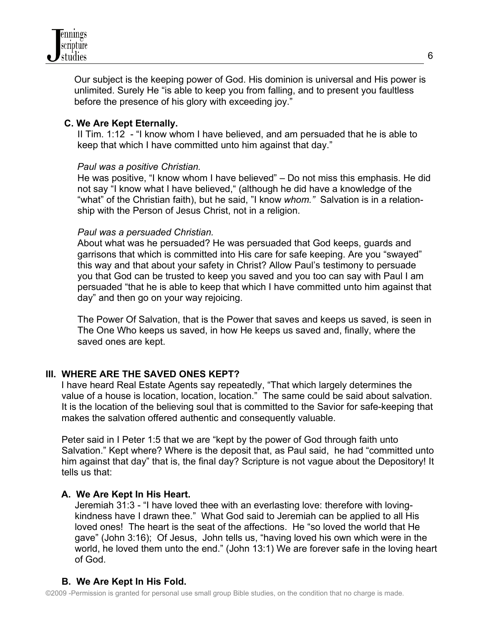

 Our subject is the keeping power of God. His dominion is universal and His power is unlimited. Surely He "is able to keep you from falling, and to present you faultless before the presence of his glory with exceeding joy."

## **C. We Are Kept Eternally.**

 II Tim. 1:12 - "I know whom I have believed, and am persuaded that he is able to keep that which I have committed unto him against that day."

#### *Paul was a positive Christian.*

 He was positive, "I know whom I have believed" – Do not miss this emphasis. He did not say "I know what I have believed," (although he did have a knowledge of the "what" of the Christian faith), but he said, "I know *whom."* Salvation is in a relation ship with the Person of Jesus Christ, not in a religion.

#### *Paul was a persuaded Christian.*

 About what was he persuaded? He was persuaded that God keeps, guards and garrisons that which is committed into His care for safe keeping. Are you "swayed" this way and that about your safety in Christ? Allow Paul's testimony to persuade you that God can be trusted to keep you saved and you too can say with Paul I am persuaded "that he is able to keep that which I have committed unto him against that day" and then go on your way rejoicing.

 The Power Of Salvation, that is the Power that saves and keeps us saved, is seen in The One Who keeps us saved, in how He keeps us saved and, finally, where the saved ones are kept.

## **III. WHERE ARE THE SAVED ONES KEPT?**

I have heard Real Estate Agents say repeatedly, "That which largely determines the value of a house is location, location, location." The same could be said about salvation. It is the location of the believing soul that is committed to the Savior for safe-keeping that makes the salvation offered authentic and consequently valuable.

 Peter said in I Peter 1:5 that we are "kept by the power of God through faith unto Salvation." Kept where? Where is the deposit that, as Paul said, he had "committed unto him against that day" that is, the final day? Scripture is not vague about the Depository! It tells us that:

## **A. We Are Kept In His Heart.**

 Jeremiah 31:3 - "I have loved thee with an everlasting love: therefore with loving kindness have I drawn thee." What God said to Jeremiah can be applied to all His loved ones! The heart is the seat of the affections. He "so loved the world that He gave" (John 3:16); Of Jesus, John tells us, "having loved his own which were in the world, he loved them unto the end." (John 13:1) We are forever safe in the loving heart of God.

# **B. We Are Kept In His Fold.**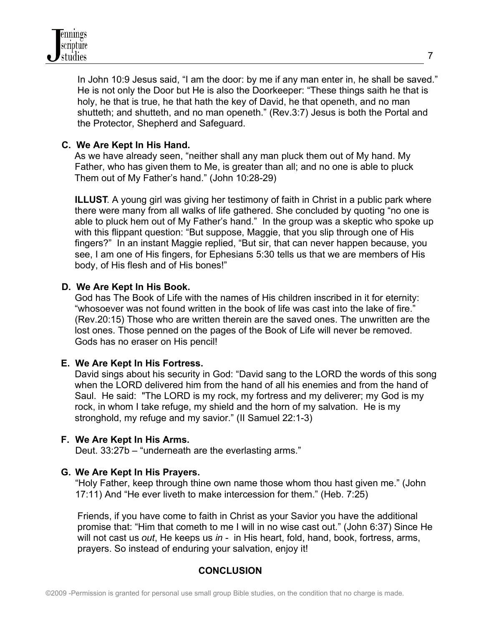

 In John 10:9 Jesus said, "I am the door: by me if any man enter in, he shall be saved." He is not only the Door but He is also the Doorkeeper: "These things saith he that is holy, he that is true, he that hath the key of David, he that openeth, and no man shutteth; and shutteth, and no man openeth." (Rev.3:7) Jesus is both the Portal and the Protector, Shepherd and Safeguard.

## **C. We Are Kept In His Hand.**

As we have already seen, "neither shall any man pluck them out of My hand. My Father, who has given them to Me, is greater than all; and no one is able to pluck Them out of My Father's hand." (John 10:28-29)

**ILLUST.** A young girl was giving her testimony of faith in Christ in a public park where there were many from all walks of life gathered. She concluded by quoting "no one is able to pluck hem out of My Father's hand." In the group was a skeptic who spoke up with this flippant question: "But suppose, Maggie, that you slip through one of His fingers?" In an instant Maggie replied, "But sir, that can never happen because, you see, I am one of His fingers, for Ephesians 5:30 tells us that we are members of His body, of His flesh and of His bones!"

## **D. We Are Kept In His Book.**

 God has The Book of Life with the names of His children inscribed in it for eternity: "whosoever was not found written in the book of life was cast into the lake of fire." (Rev.20:15) Those who are written therein are the saved ones. The unwritten are the lost ones. Those penned on the pages of the Book of Life will never be removed. Gods has no eraser on His pencil!

## **E. We Are Kept In His Fortress.**

 David sings about his security in God: "David sang to the LORD the words of this song when the LORD delivered him from the hand of all his enemies and from the hand of Saul. He said: "The LORD is my rock, my fortress and my deliverer; my God is my rock, in whom I take refuge, my shield and the horn of my salvation. He is my stronghold, my refuge and my savior." (II Samuel 22:1-3)

## **F. We Are Kept In His Arms.**

Deut. 33:27b – "underneath are the everlasting arms."

## **G. We Are Kept In His Prayers.**

"Holy Father, keep through thine own name those whom thou hast given me." (John 17:11) And "He ever liveth to make intercession for them." (Heb. 7:25)

 Friends, if you have come to faith in Christ as your Savior you have the additional promise that: "Him that cometh to me I will in no wise cast out." (John 6:37) Since He will not cast us *out*, He keeps us *in* - in His heart, fold, hand, book, fortress, arms, prayers. So instead of enduring your salvation, enjoy it!

# **CONCLUSION**

7